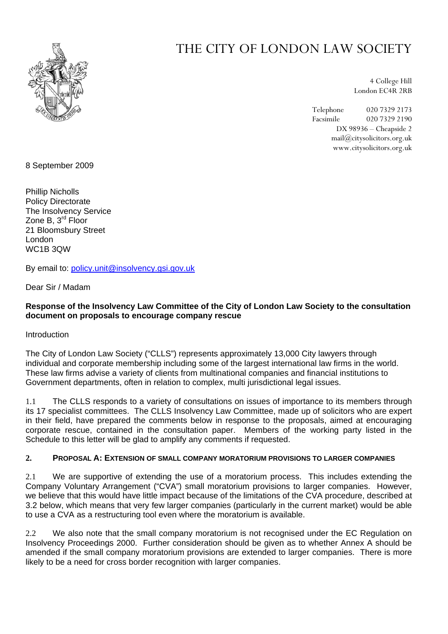

# THE CITY OF LONDON LAW SOCIETY

4 College Hill London EC4R 2RB

Telephone 020 7329 2173 Facsimile 020 7329 2190 DX 98936 – Cheapside 2 mail@citysolicitors.org.uk www.citysolicitors.org.uk

8 September 2009

Phillip Nicholls Policy Directorate The Insolvency Service Zone B, 3<sup>rd</sup> Floor 21 Bloomsbury Street London WC1B 3QW

By email to: [policy.unit@insolvency.gsi.gov.uk](mailto:policy.unit@insolvency.gsi.gov.uk)

Dear Sir / Madam

# **Response of the Insolvency Law Committee of the City of London Law Society to the consultation document on proposals to encourage company rescue**

Introduction

The City of London Law Society ("CLLS") represents approximately 13,000 City lawyers through individual and corporate membership including some of the largest international law firms in the world. These law firms advise a variety of clients from multinational companies and financial institutions to Government departments, often in relation to complex, multi jurisdictional legal issues.

1.1 The CLLS responds to a variety of consultations on issues of importance to its members through its 17 specialist committees. The CLLS Insolvency Law Committee, made up of solicitors who are expert in their field, have prepared the comments below in response to the proposals, aimed at encouraging corporate rescue, contained in the consultation paper. Members of the working party listed in the Schedule to this letter will be glad to amplify any comments if requested.

# **2. PROPOSAL A: EXTENSION OF SMALL COMPANY MORATORIUM PROVISIONS TO LARGER COMPANIES**

2.1 We are supportive of extending the use of a moratorium process. This includes extending the Company Voluntary Arrangement ("CVA") small moratorium provisions to larger companies. However, we believe that this would have little impact because of the limitations of the CVA procedure, described at [3.2](#page-1-0) below, which means that very few larger companies (particularly in the current market) would be able to use a CVA as a restructuring tool even where the moratorium is available.

2.2 We also note that the small company moratorium is not recognised under the EC Regulation on Insolvency Proceedings 2000. Further consideration should be given as to whether Annex A should be amended if the small company moratorium provisions are extended to larger companies. There is more likely to be a need for cross border recognition with larger companies.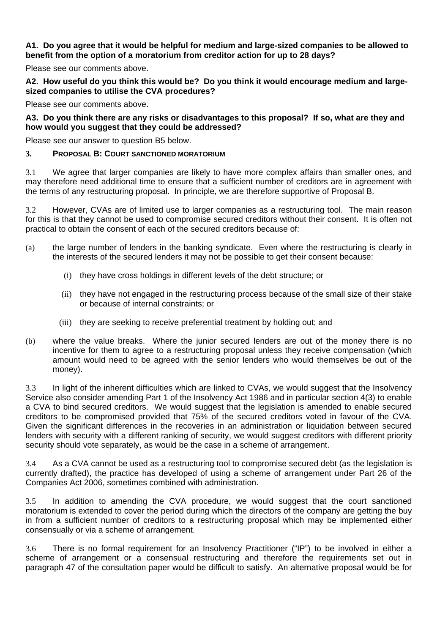#### **A1. Do you agree that it would be helpful for medium and large-sized companies to be allowed to benefit from the option of a moratorium from creditor action for up to 28 days?**

Please see our comments above.

**A2. How useful do you think this would be? Do you think it would encourage medium and largesized companies to utilise the CVA procedures?** 

Please see our comments above.

# **A3. Do you think there are any risks or disadvantages to this proposal? If so, what are they and how would you suggest that they could be addressed?**

Please see our answer to question B5 below.

#### **3. PROPOSAL B: COURT SANCTIONED MORATORIUM**

3.1 We agree that larger companies are likely to have more complex affairs than smaller ones, and may therefore need additional time to ensure that a sufficient number of creditors are in agreement with the terms of any restructuring proposal. In principle, we are therefore supportive of Proposal B.

<span id="page-1-0"></span>3.2 However, CVAs are of limited use to larger companies as a restructuring tool. The main reason for this is that they cannot be used to compromise secured creditors without their consent. It is often not practical to obtain the consent of each of the secured creditors because of:

- (a) the large number of lenders in the banking syndicate. Even where the restructuring is clearly in the interests of the secured lenders it may not be possible to get their consent because:
	- (i) they have cross holdings in different levels of the debt structure; or
	- (ii) they have not engaged in the restructuring process because of the small size of their stake or because of internal constraints; or
	- (iii) they are seeking to receive preferential treatment by holding out; and
- (b) where the value breaks. Where the junior secured lenders are out of the money there is no incentive for them to agree to a restructuring proposal unless they receive compensation (which amount would need to be agreed with the senior lenders who would themselves be out of the money).

<span id="page-1-1"></span>3.3 In light of the inherent difficulties which are linked to CVAs, we would suggest that the Insolvency Service also consider amending Part 1 of the Insolvency Act 1986 and in particular section 4(3) to enable a CVA to bind secured creditors. We would suggest that the legislation is amended to enable secured creditors to be compromised provided that 75% of the secured creditors voted in favour of the CVA. Given the significant differences in the recoveries in an administration or liquidation between secured lenders with security with a different ranking of security, we would suggest creditors with different priority security should vote separately, as would be the case in a scheme of arrangement.

3.4 As a CVA cannot be used as a restructuring tool to compromise secured debt (as the legislation is currently drafted), the practice has developed of using a scheme of arrangement under Part 26 of the Companies Act 2006, sometimes combined with administration.

3.5 In addition to amending the CVA procedure, we would suggest that the court sanctioned moratorium is extended to cover the period during which the directors of the company are getting the buy in from a sufficient number of creditors to a restructuring proposal which may be implemented either consensually or via a scheme of arrangement.

3.6 There is no formal requirement for an Insolvency Practitioner ("IP") to be involved in either a scheme of arrangement or a consensual restructuring and therefore the requirements set out in paragraph 47 of the consultation paper would be difficult to satisfy. An alternative proposal would be for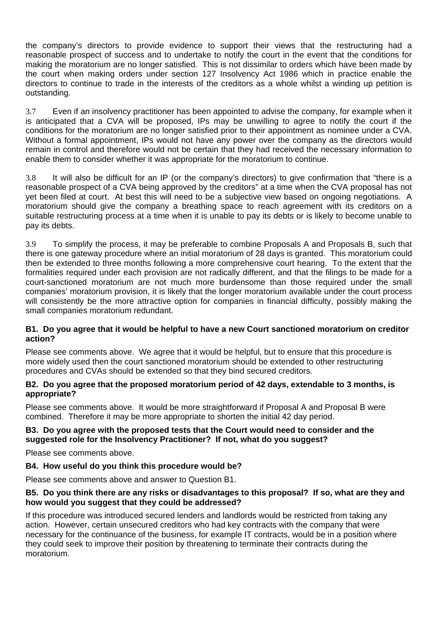the company's directors to provide evidence to support their views that the restructuring had a reasonable prospect of success and to undertake to notify the court in the event that the conditions for making the moratorium are no longer satisfied. This is not dissimilar to orders which have been made by the court when making orders under section 127 Insolvency Act 1986 which in practice enable the directors to continue to trade in the interests of the creditors as a whole whilst a winding up petition is outstanding.

3.7 Even if an insolvency practitioner has been appointed to advise the company, for example when it is anticipated that a CVA will be proposed, IPs may be unwilling to agree to notify the court if the conditions for the moratorium are no longer satisfied prior to their appointment as nominee under a CVA. Without a formal appointment, IPs would not have any power over the company as the directors would remain in control and therefore would not be certain that they had received the necessary information to enable them to consider whether it was appropriate for the moratorium to continue.

3.8 It will also be difficult for an IP (or the company's directors) to give confirmation that "there is a reasonable prospect of a CVA being approved by the creditors" at a time when the CVA proposal has not yet been filed at court. At best this will need to be a subjective view based on ongoing negotiations. A moratorium should give the company a breathing space to reach agreement with its creditors on a suitable restructuring process at a time when it is unable to pay its debts or is likely to become unable to pay its debts.

3.9 To simplify the process, it may be preferable to combine Proposals A and Proposals B, such that there is one gateway procedure where an initial moratorium of 28 days is granted. This moratorium could then be extended to three months following a more comprehensive court hearing. To the extent that the formalities required under each provision are not radically different, and that the filings to be made for a court-sanctioned moratorium are not much more burdensome than those required under the small companies' moratorium provision, it is likely that the longer moratorium available under the court process will consistently be the more attractive option for companies in financial difficulty, possibly making the small companies moratorium redundant.

#### **B1. Do you agree that it would be helpful to have a new Court sanctioned moratorium on creditor action?**

Please see comments above. We agree that it would be helpful, but to ensure that this procedure is more widely used then the court sanctioned moratorium should be extended to other restructuring procedures and CVAs should be extended so that they bind secured creditors.

# **B2. Do you agree that the proposed moratorium period of 42 days, extendable to 3 months, is appropriate?**

Please see comments above. It would be more straightforward if Proposal A and Proposal B were combined. Therefore it may be more appropriate to shorten the initial 42 day period.

# **B3. Do you agree with the proposed tests that the Court would need to consider and the suggested role for the Insolvency Practitioner? If not, what do you suggest?**

Please see comments above.

# **B4. How useful do you think this procedure would be?**

Please see comments above and answer to Question B1.

#### **B5. Do you think there are any risks or disadvantages to this proposal? If so, what are they and how would you suggest that they could be addressed?**

If this procedure was introduced secured lenders and landlords would be restricted from taking any action. However, certain unsecured creditors who had key contracts with the company that were necessary for the continuance of the business, for example IT contracts, would be in a position where they could seek to improve their position by threatening to terminate their contracts during the moratorium.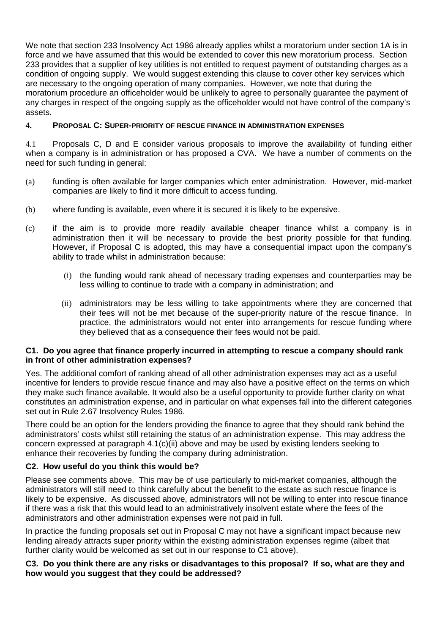We note that section 233 Insolvency Act 1986 already applies whilst a moratorium under section 1A is in force and we have assumed that this would be extended to cover this new moratorium process. Section 233 provides that a supplier of key utilities is not entitled to request payment of outstanding charges as a condition of ongoing supply. We would suggest extending this clause to cover other key services which are necessary to the ongoing operation of many companies. However, we note that during the moratorium procedure an officeholder would be unlikely to agree to personally guarantee the payment of any charges in respect of the ongoing supply as the officeholder would not have control of the company's assets.

# **4. PROPOSAL C: SUPER-PRIORITY OF RESCUE FINANCE IN ADMINISTRATION EXPENSES**

<span id="page-3-0"></span>4.1 Proposals C, D and E consider various proposals to improve the availability of funding either when a company is in administration or has proposed a CVA. We have a number of comments on the need for such funding in general:

- (a) funding is often available for larger companies which enter administration. However, mid-market companies are likely to find it more difficult to access funding.
- (b) where funding is available, even where it is secured it is likely to be expensive.
- <span id="page-3-1"></span>(c) if the aim is to provide more readily available cheaper finance whilst a company is in administration then it will be necessary to provide the best priority possible for that funding. However, if Proposal C is adopted, this may have a consequential impact upon the company's ability to trade whilst in administration because:
	- (i) the funding would rank ahead of necessary trading expenses and counterparties may be less willing to continue to trade with a company in administration; and
	- (ii) administrators may be less willing to take appointments where they are concerned that their fees will not be met because of the super-priority nature of the rescue finance. In practice, the administrators would not enter into arrangements for rescue funding where they believed that as a consequence their fees would not be paid.

#### <span id="page-3-2"></span>**C1. Do you agree that finance properly incurred in attempting to rescue a company should rank in front of other administration expenses?**

Yes. The additional comfort of ranking ahead of all other administration expenses may act as a useful incentive for lenders to provide rescue finance and may also have a positive effect on the terms on which they make such finance available. It would also be a useful opportunity to provide further clarity on what constitutes an administration expense, and in particular on what expenses fall into the different categories set out in Rule 2.67 Insolvency Rules 1986.

There could be an option for the lenders providing the finance to agree that they should rank behind the administrators' costs whilst still retaining the status of an administration expense. This may address the concern expressed at paragraph [4.1](#page-3-0)[\(c\)](#page-3-1)[\(ii\)](#page-3-2) above and may be used by existing lenders seeking to enhance their recoveries by funding the company during administration.

# **C2. How useful do you think this would be?**

Please see comments above. This may be of use particularly to mid-market companies, although the administrators will still need to think carefully about the benefit to the estate as such rescue finance is likely to be expensive. As discussed above, administrators will not be willing to enter into rescue finance if there was a risk that this would lead to an administratively insolvent estate where the fees of the administrators and other administration expenses were not paid in full.

In practice the funding proposals set out in Proposal C may not have a significant impact because new lending already attracts super priority within the existing administration expenses regime (albeit that further clarity would be welcomed as set out in our response to C1 above).

#### **C3. Do you think there are any risks or disadvantages to this proposal? If so, what are they and how would you suggest that they could be addressed?**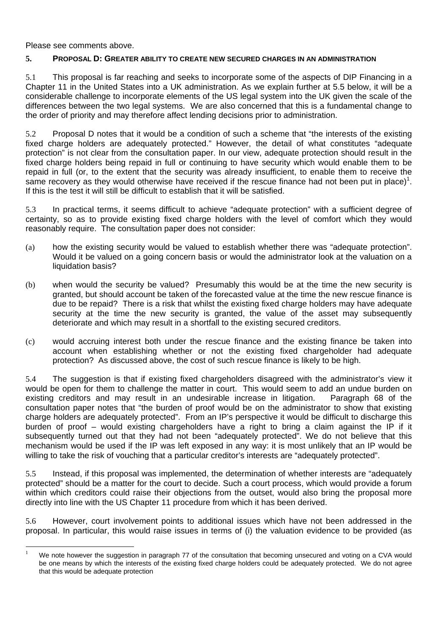Please see comments above.

 $\overline{a}$ 

#### **5. PROPOSAL D: GREATER ABILITY TO CREATE NEW SECURED CHARGES IN AN ADMINISTRATION**

5.1 This proposal is far reaching and seeks to incorporate some of the aspects of DIP Financing in a Chapter 11 in the United States into a UK administration. As we explain further at 5.5 below, it will be a considerable challenge to incorporate elements of the US legal system into the UK given the scale of the differences between the two legal systems. We are also concerned that this is a fundamental change to the order of priority and may therefore affect lending decisions prior to administration.

5.2 Proposal D notes that it would be a condition of such a scheme that "the interests of the existing fixed charge holders are adequately protected." However, the detail of what constitutes "adequate protection" is not clear from the consultation paper. In our view, adequate protection should result in the fixed charge holders being repaid in full or continuing to have security which would enable them to be repaid in full (or, to the extent that the security was already insufficient, to enable them to receive the same recovery as they would otherwise have received if the rescue finance had not been put in place)<sup>[1](#page-4-0)</sup>. If this is the test it will still be difficult to establish that it will be satisfied.

5.3 In practical terms, it seems difficult to achieve "adequate protection" with a sufficient degree of certainty, so as to provide existing fixed charge holders with the level of comfort which they would reasonably require. The consultation paper does not consider:

- (a) how the existing security would be valued to establish whether there was "adequate protection". Would it be valued on a going concern basis or would the administrator look at the valuation on a liquidation basis?
- (b) when would the security be valued? Presumably this would be at the time the new security is granted, but should account be taken of the forecasted value at the time the new rescue finance is due to be repaid? There is a risk that whilst the existing fixed charge holders may have adequate security at the time the new security is granted, the value of the asset may subsequently deteriorate and which may result in a shortfall to the existing secured creditors.
- (c) would accruing interest both under the rescue finance and the existing finance be taken into account when establishing whether or not the existing fixed chargeholder had adequate protection? As discussed above, the cost of such rescue finance is likely to be high.

5.4 The suggestion is that if existing fixed chargeholders disagreed with the administrator's view it would be open for them to challenge the matter in court. This would seem to add an undue burden on existing creditors and may result in an undesirable increase in litigation. Paragraph 68 of the consultation paper notes that "the burden of proof would be on the administrator to show that existing charge holders are adequately protected". From an IP's perspective it would be difficult to discharge this burden of proof – would existing chargeholders have a right to bring a claim against the IP if it subsequently turned out that they had not been "adequately protected". We do not believe that this mechanism would be used if the IP was left exposed in any way: it is most unlikely that an IP would be willing to take the risk of vouching that a particular creditor's interests are "adequately protected".

5.5 Instead, if this proposal was implemented, the determination of whether interests are "adequately protected" should be a matter for the court to decide. Such a court process, which would provide a forum within which creditors could raise their objections from the outset, would also bring the proposal more directly into line with the US Chapter 11 procedure from which it has been derived.

5.6 However, court involvement points to additional issues which have not been addressed in the proposal. In particular, this would raise issues in terms of (i) the valuation evidence to be provided (as

<span id="page-4-0"></span><sup>1</sup> We note however the suggestion in paragraph 77 of the consultation that becoming unsecured and voting on a CVA would be one means by which the interests of the existing fixed charge holders could be adequately protected. We do not agree that this would be adequate protection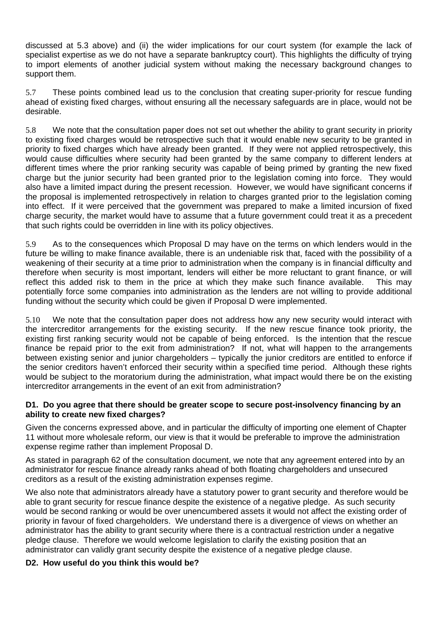discussed at 5.3 above) and (ii) the wider implications for our court system (for example the lack of specialist expertise as we do not have a separate bankruptcy court). This highlights the difficulty of trying to import elements of another judicial system without making the necessary background changes to support them.

5.7 These points combined lead us to the conclusion that creating super-priority for rescue funding ahead of existing fixed charges, without ensuring all the necessary safeguards are in place, would not be desirable.

5.8 We note that the consultation paper does not set out whether the ability to grant security in priority to existing fixed charges would be retrospective such that it would enable new security to be granted in priority to fixed charges which have already been granted. If they were not applied retrospectively, this would cause difficulties where security had been granted by the same company to different lenders at different times where the prior ranking security was capable of being primed by granting the new fixed charge but the junior security had been granted prior to the legislation coming into force. They would also have a limited impact during the present recession. However, we would have significant concerns if the proposal is implemented retrospectively in relation to charges granted prior to the legislation coming into effect. If it were perceived that the government was prepared to make a limited incursion of fixed charge security, the market would have to assume that a future government could treat it as a precedent that such rights could be overridden in line with its policy objectives.

5.9 As to the consequences which Proposal D may have on the terms on which lenders would in the future be willing to make finance available, there is an undeniable risk that, faced with the possibility of a weakening of their security at a time prior to administration when the company is in financial difficulty and therefore when security is most important, lenders will either be more reluctant to grant finance, or will reflect this added risk to them in the price at which they make such finance available. This may potentially force some companies into administration as the lenders are not willing to provide additional funding without the security which could be given if Proposal D were implemented.

5.10 We note that the consultation paper does not address how any new security would interact with the intercreditor arrangements for the existing security. If the new rescue finance took priority, the existing first ranking security would not be capable of being enforced. Is the intention that the rescue finance be repaid prior to the exit from administration? If not, what will happen to the arrangements between existing senior and junior chargeholders – typically the junior creditors are entitled to enforce if the senior creditors haven't enforced their security within a specified time period. Although these rights would be subject to the moratorium during the administration, what impact would there be on the existing intercreditor arrangements in the event of an exit from administration?

# **D1. Do you agree that there should be greater scope to secure post-insolvency financing by an ability to create new fixed charges?**

Given the concerns expressed above, and in particular the difficulty of importing one element of Chapter 11 without more wholesale reform, our view is that it would be preferable to improve the administration expense regime rather than implement Proposal D.

As stated in paragraph 62 of the consultation document, we note that any agreement entered into by an administrator for rescue finance already ranks ahead of both floating chargeholders and unsecured creditors as a result of the existing administration expenses regime.

We also note that administrators already have a statutory power to grant security and therefore would be able to grant security for rescue finance despite the existence of a negative pledge. As such security would be second ranking or would be over unencumbered assets it would not affect the existing order of priority in favour of fixed chargeholders. We understand there is a divergence of views on whether an administrator has the ability to grant security where there is a contractual restriction under a negative pledge clause. Therefore we would welcome legislation to clarify the existing position that an administrator can validly grant security despite the existence of a negative pledge clause.

# **D2. How useful do you think this would be?**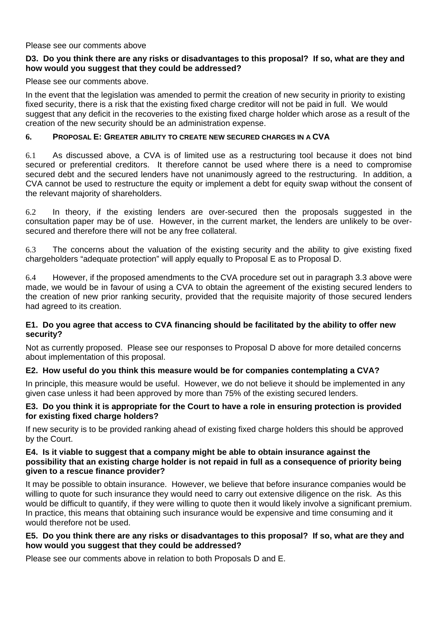#### Please see our comments above

# **D3. Do you think there are any risks or disadvantages to this proposal? If so, what are they and how would you suggest that they could be addressed?**

Please see our comments above.

In the event that the legislation was amended to permit the creation of new security in priority to existing fixed security, there is a risk that the existing fixed charge creditor will not be paid in full. We would suggest that any deficit in the recoveries to the existing fixed charge holder which arose as a result of the creation of the new security should be an administration expense.

# **6. PROPOSAL E: GREATER ABILITY TO CREATE NEW SECURED CHARGES IN A CVA**

6.1 As discussed above, a CVA is of limited use as a restructuring tool because it does not bind secured or preferential creditors. It therefore cannot be used where there is a need to compromise secured debt and the secured lenders have not unanimously agreed to the restructuring. In addition, a CVA cannot be used to restructure the equity or implement a debt for equity swap without the consent of the relevant majority of shareholders.

6.2 In theory, if the existing lenders are over-secured then the proposals suggested in the consultation paper may be of use. However, in the current market, the lenders are unlikely to be oversecured and therefore there will not be any free collateral.

6.3 The concerns about the valuation of the existing security and the ability to give existing fixed chargeholders "adequate protection" will apply equally to Proposal E as to Proposal D.

6.4 However, if the proposed amendments to the CVA procedure set out in paragraph [3.3](#page-1-1) above were made, we would be in favour of using a CVA to obtain the agreement of the existing secured lenders to the creation of new prior ranking security, provided that the requisite majority of those secured lenders had agreed to its creation.

#### **E1. Do you agree that access to CVA financing should be facilitated by the ability to offer new security?**

Not as currently proposed. Please see our responses to Proposal D above for more detailed concerns about implementation of this proposal.

# **E2. How useful do you think this measure would be for companies contemplating a CVA?**

In principle, this measure would be useful. However, we do not believe it should be implemented in any given case unless it had been approved by more than 75% of the existing secured lenders.

#### **E3. Do you think it is appropriate for the Court to have a role in ensuring protection is provided for existing fixed charge holders?**

If new security is to be provided ranking ahead of existing fixed charge holders this should be approved by the Court.

# **E4. Is it viable to suggest that a company might be able to obtain insurance against the possibility that an existing charge holder is not repaid in full as a consequence of priority being given to a rescue finance provider?**

It may be possible to obtain insurance. However, we believe that before insurance companies would be willing to quote for such insurance they would need to carry out extensive diligence on the risk. As this would be difficult to quantify, if they were willing to quote then it would likely involve a significant premium. In practice, this means that obtaining such insurance would be expensive and time consuming and it would therefore not be used.

#### **E5. Do you think there are any risks or disadvantages to this proposal? If so, what are they and how would you suggest that they could be addressed?**

Please see our comments above in relation to both Proposals D and E.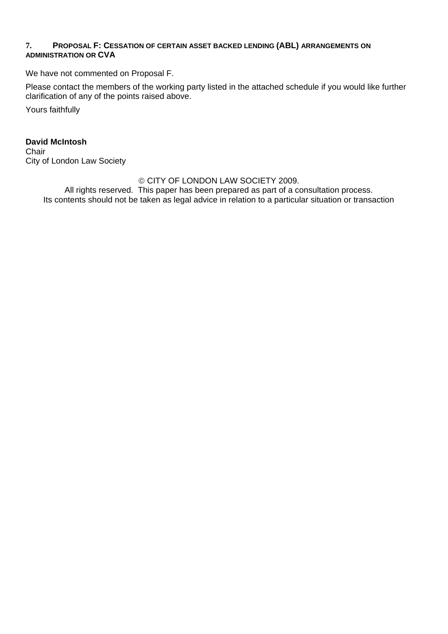# **7. PROPOSAL F: CESSATION OF CERTAIN ASSET BACKED LENDING (ABL) ARRANGEMENTS ON ADMINISTRATION OR CVA**

We have not commented on Proposal F.

Please contact the members of the working party listed in the attached schedule if you would like further clarification of any of the points raised above.

Yours faithfully

**David McIntosh Chair** City of London Law Society

# © CITY OF LONDON LAW SOCIETY 2009.

All rights reserved. This paper has been prepared as part of a consultation process. Its contents should not be taken as legal advice in relation to a particular situation or transaction